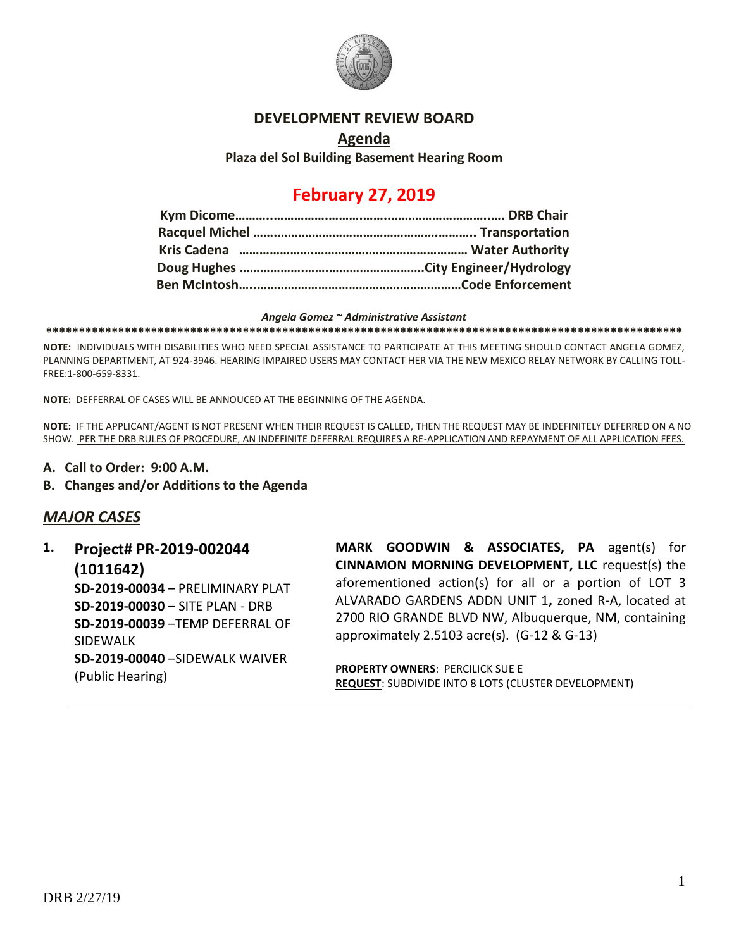

#### **DEVELOPMENT REVIEW BOARD**

## **Agenda Plaza del Sol Building Basement Hearing Room**

# **February 27, 2019**

#### *Angela Gomez ~ Administrative Assistant*

**\*\*\*\*\*\*\*\*\*\*\*\*\*\*\*\*\*\*\*\*\*\*\*\*\*\*\*\*\*\*\*\*\*\*\*\*\*\*\*\*\*\*\*\*\*\*\*\*\*\*\*\*\*\*\*\*\*\*\*\*\*\*\*\*\*\*\*\*\*\*\*\*\*\*\*\*\*\*\*\*\*\*\*\*\*\*\*\*\*\*\*\*\*\*\*\*\***

**NOTE:** INDIVIDUALS WITH DISABILITIES WHO NEED SPECIAL ASSISTANCE TO PARTICIPATE AT THIS MEETING SHOULD CONTACT ANGELA GOMEZ, PLANNING DEPARTMENT, AT 924-3946. HEARING IMPAIRED USERS MAY CONTACT HER VIA THE NEW MEXICO RELAY NETWORK BY CALLING TOLL-FREE:1-800-659-8331.

**NOTE:** DEFFERRAL OF CASES WILL BE ANNOUCED AT THE BEGINNING OF THE AGENDA.

**NOTE:** IF THE APPLICANT/AGENT IS NOT PRESENT WHEN THEIR REQUEST IS CALLED, THEN THE REQUEST MAY BE INDEFINITELY DEFERRED ON A NO SHOW. PER THE DRB RULES OF PROCEDURE, AN INDEFINITE DEFERRAL REQUIRES A RE-APPLICATION AND REPAYMENT OF ALL APPLICATION FEES.

- **A. Call to Order: 9:00 A.M.**
- **B. Changes and/or Additions to the Agenda**

## *MAJOR CASES*

**1. Project# PR-2019-002044 (1011642) SD-2019-00034** – PRELIMINARY PLAT **SD-2019-00030** – SITE PLAN - DRB **SD-2019-00039** –TEMP DEFERRAL OF SIDEWALK **SD-2019-00040** –SIDEWALK WAIVER (Public Hearing)

**MARK GOODWIN & ASSOCIATES, PA** agent(s) for **CINNAMON MORNING DEVELOPMENT, LLC** request(s) the aforementioned action(s) for all or a portion of LOT 3 ALVARADO GARDENS ADDN UNIT 1**,** zoned R-A, located at 2700 RIO GRANDE BLVD NW, Albuquerque, NM, containing approximately 2.5103 acre(s). (G-12 & G-13)

**PROPERTY OWNERS**: PERCILICK SUE E **REQUEST**: SUBDIVIDE INTO 8 LOTS (CLUSTER DEVELOPMENT)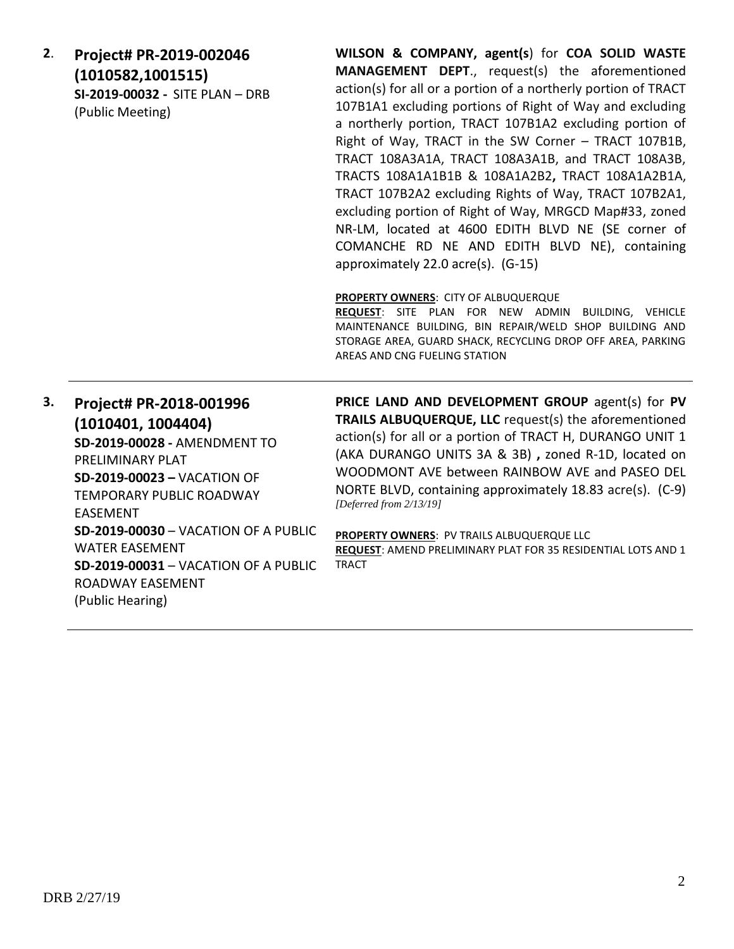**2**. **Project# PR-2019-002046 (1010582,1001515) SI-2019-00032 -** SITE PLAN – DRB (Public Meeting)

**WILSON & COMPANY, agent(s**) for **COA SOLID WASTE MANAGEMENT DEPT**., request(s) the aforementioned action(s) for all or a portion of a northerly portion of TRACT 107B1A1 excluding portions of Right of Way and excluding a northerly portion, TRACT 107B1A2 excluding portion of Right of Way, TRACT in the SW Corner – TRACT 107B1B, TRACT 108A3A1A, TRACT 108A3A1B, and TRACT 108A3B, TRACTS 108A1A1B1B & 108A1A2B2**,** TRACT 108A1A2B1A, TRACT 107B2A2 excluding Rights of Way, TRACT 107B2A1, excluding portion of Right of Way, MRGCD Map#33, zoned NR-LM, located at 4600 EDITH BLVD NE (SE corner of COMANCHE RD NE AND EDITH BLVD NE), containing approximately 22.0 acre(s). (G-15)

**PROPERTY OWNERS**: CITY OF ALBUQUERQUE

**REQUEST**: SITE PLAN FOR NEW ADMIN BUILDING, VEHICLE MAINTENANCE BUILDING, BIN REPAIR/WELD SHOP BUILDING AND STORAGE AREA, GUARD SHACK, RECYCLING DROP OFF AREA, PARKING AREAS AND CNG FUELING STATION

**3. Project# PR-2018-001996 (1010401, 1004404) SD-2019-00028 -** AMENDMENT TO PRELIMINARY PLAT **SD-2019-00023 –** VACATION OF TEMPORARY PUBLIC ROADWAY EASEMENT **SD-2019-00030** – VACATION OF A PUBLIC WATER EASEMENT **SD-2019-00031** – VACATION OF A PUBLIC ROADWAY EASEMENT (Public Hearing)

**PRICE LAND AND DEVELOPMENT GROUP** agent(s) for **PV TRAILS ALBUQUERQUE, LLC** request(s) the aforementioned action(s) for all or a portion of TRACT H, DURANGO UNIT 1 (AKA DURANGO UNITS 3A & 3B) **,** zoned R-1D, located on WOODMONT AVE between RAINBOW AVE and PASEO DEL NORTE BLVD, containing approximately 18.83 acre(s). (C-9) *[Deferred from 2/13/19]*

**PROPERTY OWNERS**: PV TRAILS ALBUQUERQUE LLC **REQUEST**: AMEND PRELIMINARY PLAT FOR 35 RESIDENTIAL LOTS AND 1 TRACT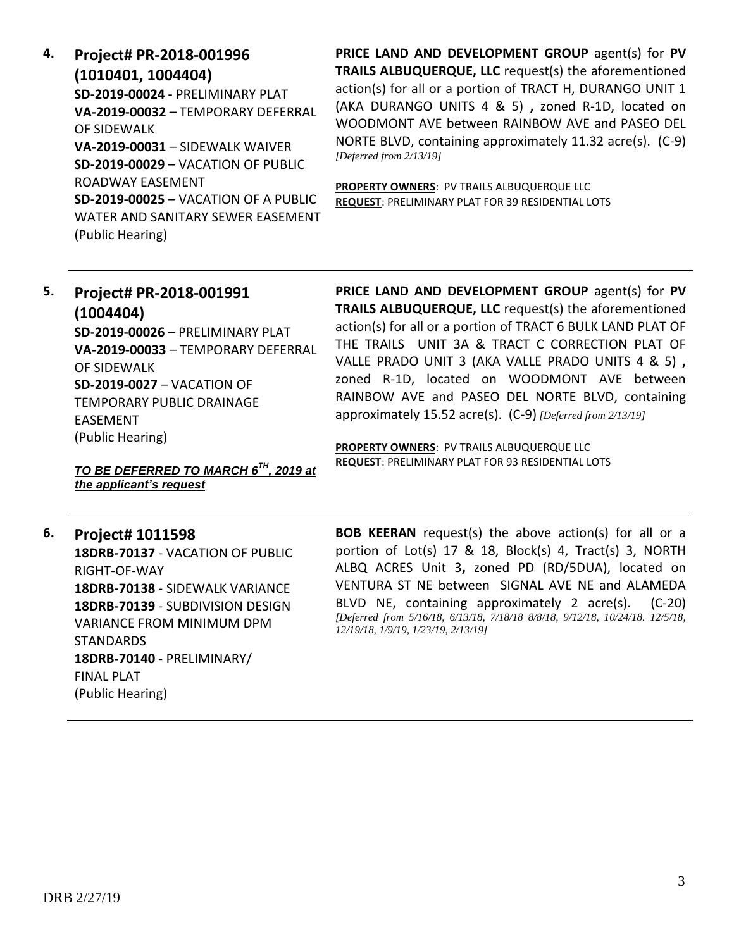**4. Project# PR-2018-001996 (1010401, 1004404) SD-2019-00024 -** PRELIMINARY PLAT **VA-2019-00032 –** TEMPORARY DEFERRAL OF SIDEWALK **VA-2019-00031** – SIDEWALK WAIVER **SD-2019-00029** – VACATION OF PUBLIC ROADWAY EASEMENT **SD-2019-00025** – VACATION OF A PUBLIC WATER AND SANITARY SEWER EASEMENT (Public Hearing)

**PRICE LAND AND DEVELOPMENT GROUP** agent(s) for **PV TRAILS ALBUQUERQUE, LLC** request(s) the aforementioned action(s) for all or a portion of TRACT H, DURANGO UNIT 1 (AKA DURANGO UNITS 4 & 5) **,** zoned R-1D, located on WOODMONT AVE between RAINBOW AVE and PASEO DEL NORTE BLVD, containing approximately 11.32 acre(s). (C-9) *[Deferred from 2/13/19]*

**PROPERTY OWNERS**: PV TRAILS ALBUQUERQUE LLC **REQUEST**: PRELIMINARY PLAT FOR 39 RESIDENTIAL LOTS

# **5. Project# PR-2018-001991 (1004404) SD-2019-00026** – PRELIMINARY PLAT **VA-2019-00033** – TEMPORARY DEFERRAL OF SIDEWALK

**SD-2019-0027** – VACATION OF TEMPORARY PUBLIC DRAINAGE EASEMENT (Public Hearing)

**PRICE LAND AND DEVELOPMENT GROUP** agent(s) for **PV TRAILS ALBUQUERQUE, LLC** request(s) the aforementioned action(s) for all or a portion of TRACT 6 BULK LAND PLAT OF THE TRAILS UNIT 3A & TRACT C CORRECTION PLAT OF VALLE PRADO UNIT 3 (AKA VALLE PRADO UNITS 4 & 5) **,**  zoned R-1D, located on WOODMONT AVE between RAINBOW AVE and PASEO DEL NORTE BLVD, containing approximately 15.52 acre(s). (C-9) *[Deferred from 2/13/19]*

**PROPERTY OWNERS**: PV TRAILS ALBUQUERQUE LLC **REQUEST**: PRELIMINARY PLAT FOR 93 RESIDENTIAL LOTS

*TO BE DEFERRED TO MARCH 6TH, 2019 at the applicant's request*

## **6. Project# 1011598**

**18DRB-70137** - VACATION OF PUBLIC RIGHT-OF-WAY **18DRB-70138** - SIDEWALK VARIANCE **18DRB-70139** - SUBDIVISION DESIGN VARIANCE FROM MINIMUM DPM STANDARDS **18DRB-70140** - PRELIMINARY/ FINAL PLAT (Public Hearing)

**BOB KEERAN** request(s) the above action(s) for all or a portion of Lot(s) 17 & 18, Block(s) 4, Tract(s) 3, NORTH ALBQ ACRES Unit 3**,** zoned PD (RD/5DUA), located on VENTURA ST NE between SIGNAL AVE NE and ALAMEDA BLVD NE, containing approximately 2 acre(s). (C-20) *[Deferred from 5/16/18, 6/13/18, 7/18/18 8/8/18, 9/12/18, 10/24/18. 12/5/18, 12/19/18, 1/9/19, 1/23/19, 2/13/19]*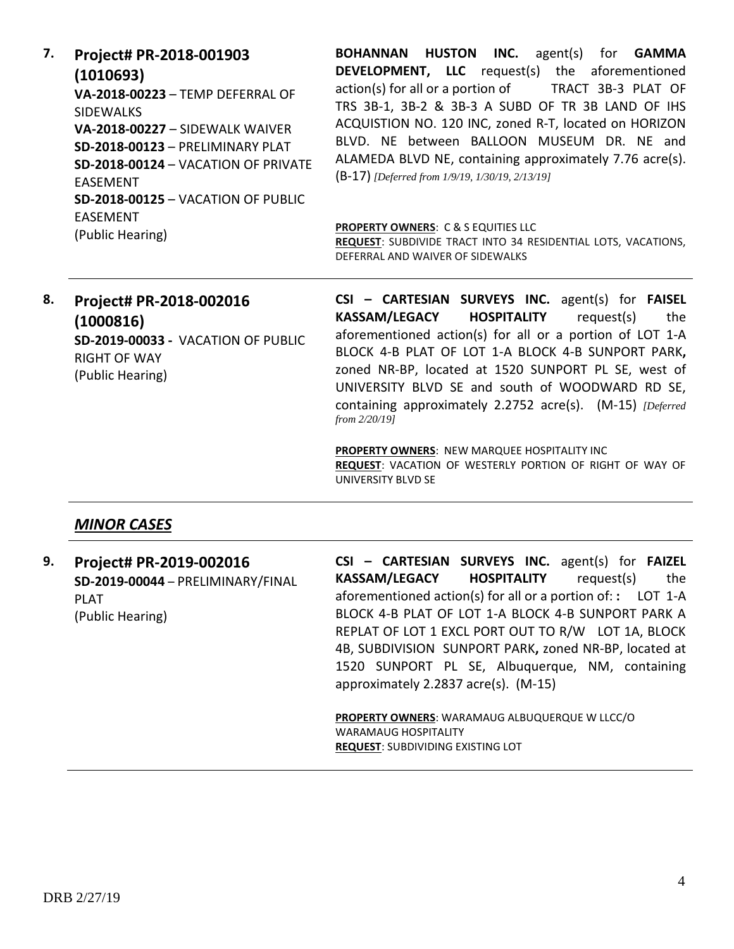**7. Project# PR-2018-001903 (1010693) VA-2018-00223** – TEMP DEFERRAL OF SIDEWALKS **VA-2018-00227** – SIDEWALK WAIVER **SD-2018-00123** – PRELIMINARY PLAT **SD-2018-00124** – VACATION OF PRIVATE EASEMENT **SD-2018-00125** – VACATION OF PUBLIC EASEMENT (Public Hearing)

**BOHANNAN HUSTON INC.** agent(s) for **GAMMA DEVELOPMENT, LLC** request(s) the aforementioned action(s) for all or a portion of TRACT 3B-3 PLAT OF TRS 3B-1, 3B-2 & 3B-3 A SUBD OF TR 3B LAND OF IHS ACQUISTION NO. 120 INC, zoned R-T, located on HORIZON BLVD. NE between BALLOON MUSEUM DR. NE and ALAMEDA BLVD NE, containing approximately 7.76 acre(s). (B-17) *[Deferred from 1/9/19, 1/30/19, 2/13/19]*

#### **PROPERTY OWNERS**: C & S EQUITIES LLC

**REQUEST**: SUBDIVIDE TRACT INTO 34 RESIDENTIAL LOTS, VACATIONS, DEFERRAL AND WAIVER OF SIDEWALKS

## **8. Project# PR-2018-002016 (1000816) SD-2019-00033 -** VACATION OF PUBLIC RIGHT OF WAY (Public Hearing)

**CSI – CARTESIAN SURVEYS INC.** agent(s) for **FAISEL KASSAM/LEGACY HOSPITALITY** request(s) the aforementioned action(s) for all or a portion of LOT 1-A BLOCK 4-B PLAT OF LOT 1-A BLOCK 4-B SUNPORT PARK**,**  zoned NR-BP, located at 1520 SUNPORT PL SE, west of UNIVERSITY BLVD SE and south of WOODWARD RD SE, containing approximately 2.2752 acre(s). (M-15) *[Deferred from 2/20/19]*

**PROPERTY OWNERS**: NEW MARQUEE HOSPITALITY INC **REQUEST**: VACATION OF WESTERLY PORTION OF RIGHT OF WAY OF UNIVERSITY BLVD SE

#### *MINOR CASES*

**9. Project# PR-2019-002016 SD-2019-00044** – PRELIMINARY/FINAL PLAT (Public Hearing)

**CSI – CARTESIAN SURVEYS INC.** agent(s) for **FAIZEL KASSAM/LEGACY HOSPITALITY** request(s) the aforementioned action(s) for all or a portion of: **:** LOT 1-A BLOCK 4-B PLAT OF LOT 1-A BLOCK 4-B SUNPORT PARK A REPLAT OF LOT 1 EXCL PORT OUT TO R/W LOT 1A, BLOCK 4B, SUBDIVISION SUNPORT PARK**,** zoned NR-BP, located at 1520 SUNPORT PL SE, Albuquerque, NM, containing approximately 2.2837 acre(s). (M-15)

**PROPERTY OWNERS**: WARAMAUG ALBUQUERQUE W LLCC/O WARAMAUG HOSPITALITY **REQUEST**: SUBDIVIDING EXISTING LOT